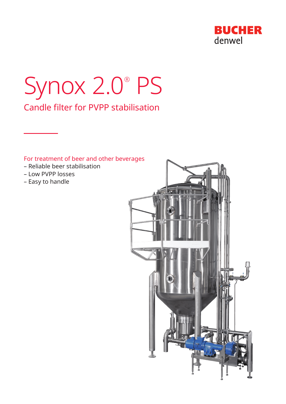

# Synox 2.0® PS Candle filter for PVPP stabilisation

# For treatment of beer and other beverages

- Reliable beer stabilisation
- Low PVPP losses
- Easy to handle